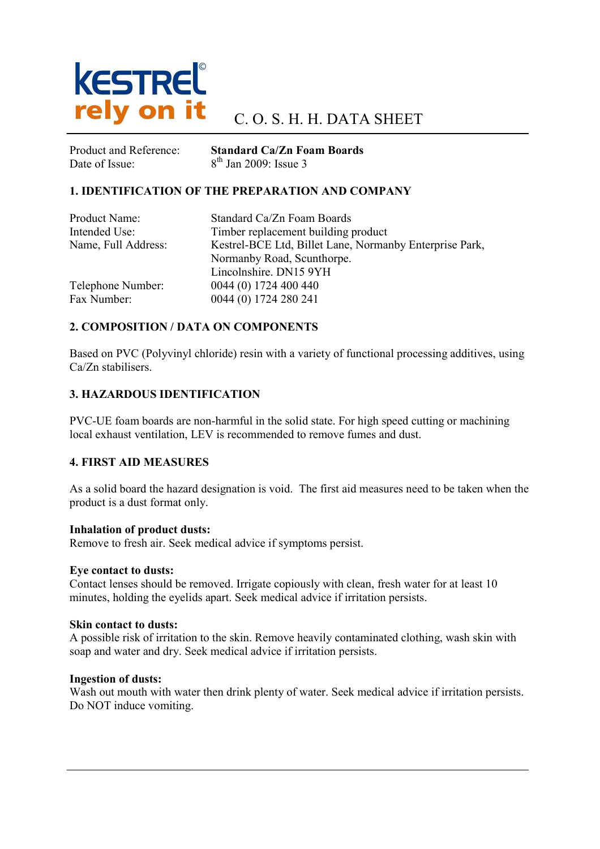

Date of Issue:  $8^{th}$  Jan 2009: Issue 3

Product and Reference: Standard Ca/Zn Foam Boards

### 1. IDENTIFICATION OF THE PREPARATION AND COMPANY

| Product Name:       | Standard Ca/Zn Foam Boards                              |
|---------------------|---------------------------------------------------------|
| Intended Use:       | Timber replacement building product                     |
| Name, Full Address: | Kestrel-BCE Ltd, Billet Lane, Normanby Enterprise Park, |
|                     | Normanby Road, Scunthorpe.                              |
|                     | Lincolnshire. DN15 9YH                                  |
| Telephone Number:   | 0044 (0) 1724 400 440                                   |
| Fax Number:         | 0044 (0) 1724 280 241                                   |

### 2. COMPOSITION / DATA ON COMPONENTS

Based on PVC (Polyvinyl chloride) resin with a variety of functional processing additives, using Ca/Zn stabilisers.

### 3. HAZARDOUS IDENTIFICATION

PVC-UE foam boards are non-harmful in the solid state. For high speed cutting or machining local exhaust ventilation, LEV is recommended to remove fumes and dust.

### 4. FIRST AID MEASURES

As a solid board the hazard designation is void. The first aid measures need to be taken when the product is a dust format only.

### Inhalation of product dusts:

Remove to fresh air. Seek medical advice if symptoms persist.

### Eye contact to dusts:

Contact lenses should be removed. Irrigate copiously with clean, fresh water for at least 10 minutes, holding the eyelids apart. Seek medical advice if irritation persists.

### Skin contact to dusts:

A possible risk of irritation to the skin. Remove heavily contaminated clothing, wash skin with soap and water and dry. Seek medical advice if irritation persists.

### Ingestion of dusts:

Wash out mouth with water then drink plenty of water. Seek medical advice if irritation persists. Do NOT induce vomiting.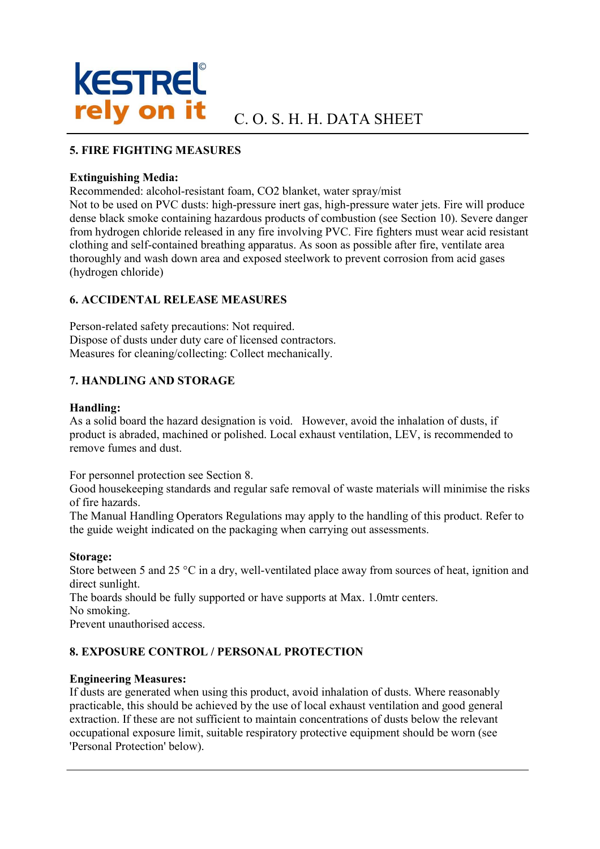

## 5. FIRE FIGHTING MEASURES

### Extinguishing Media:

Recommended: alcohol-resistant foam, CO2 blanket, water spray/mist

Not to be used on PVC dusts: high-pressure inert gas, high-pressure water jets. Fire will produce dense black smoke containing hazardous products of combustion (see Section 10). Severe danger from hydrogen chloride released in any fire involving PVC. Fire fighters must wear acid resistant clothing and self-contained breathing apparatus. As soon as possible after fire, ventilate area thoroughly and wash down area and exposed steelwork to prevent corrosion from acid gases (hydrogen chloride)

### 6. ACCIDENTAL RELEASE MEASURES

Person-related safety precautions: Not required. Dispose of dusts under duty care of licensed contractors. Measures for cleaning/collecting: Collect mechanically.

## 7. HANDLING AND STORAGE

### Handling:

As a solid board the hazard designation is void. However, avoid the inhalation of dusts, if product is abraded, machined or polished. Local exhaust ventilation, LEV, is recommended to remove fumes and dust.

For personnel protection see Section 8.

Good housekeeping standards and regular safe removal of waste materials will minimise the risks of fire hazards.

The Manual Handling Operators Regulations may apply to the handling of this product. Refer to the guide weight indicated on the packaging when carrying out assessments.

### Storage:

Store between 5 and 25 °C in a dry, well-ventilated place away from sources of heat, ignition and direct sunlight.

The boards should be fully supported or have supports at Max. 1.0mtr centers.

No smoking.

Prevent unauthorised access.

# 8. EXPOSURE CONTROL / PERSONAL PROTECTION

### Engineering Measures:

If dusts are generated when using this product, avoid inhalation of dusts. Where reasonably practicable, this should be achieved by the use of local exhaust ventilation and good general extraction. If these are not sufficient to maintain concentrations of dusts below the relevant occupational exposure limit, suitable respiratory protective equipment should be worn (see 'Personal Protection' below).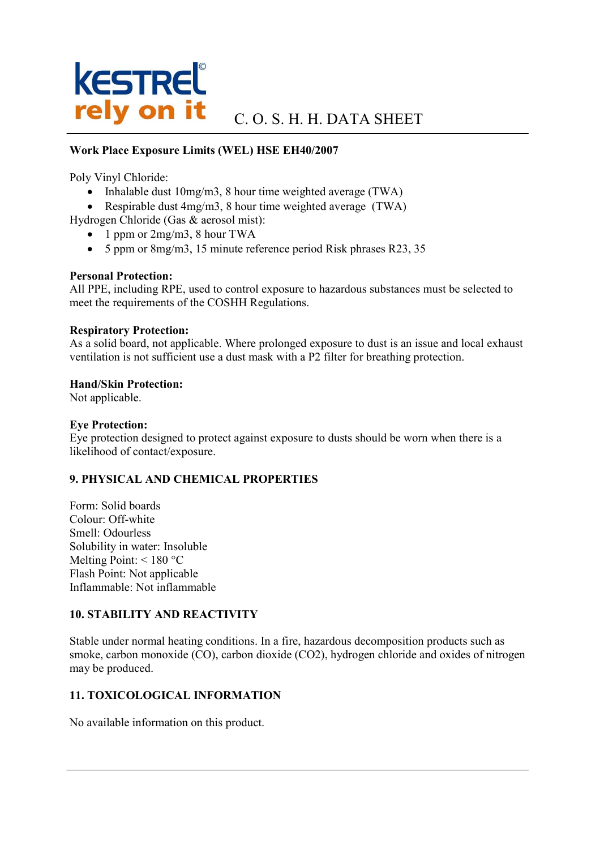# **KESTREL**® **rely on it** C.O. S. H. H. DATA SHEET

### Work Place Exposure Limits (WEL) HSE EH40/2007

Poly Vinyl Chloride:

- Inhalable dust 10mg/m3, 8 hour time weighted average (TWA)
- Respirable dust 4mg/m3, 8 hour time weighted average (TWA)

Hydrogen Chloride (Gas & aerosol mist):

- 1 ppm or 2mg/m3, 8 hour TWA
- 5 ppm or 8mg/m3, 15 minute reference period Risk phrases R23, 35

## Personal Protection:

All PPE, including RPE, used to control exposure to hazardous substances must be selected to meet the requirements of the COSHH Regulations.

### Respiratory Protection:

As a solid board, not applicable. Where prolonged exposure to dust is an issue and local exhaust ventilation is not sufficient use a dust mask with a P2 filter for breathing protection.

### Hand/Skin Protection:

Not applicable.

### Eye Protection:

Eye protection designed to protect against exposure to dusts should be worn when there is a likelihood of contact/exposure.

### 9. PHYSICAL AND CHEMICAL PROPERTIES

Form: Solid boards Colour: Off-white Smell: Odourless Solubility in water: Insoluble Melting Point: < 180 °C Flash Point: Not applicable Inflammable: Not inflammable

### 10. STABILITY AND REACTIVITY

Stable under normal heating conditions. In a fire, hazardous decomposition products such as smoke, carbon monoxide (CO), carbon dioxide (CO2), hydrogen chloride and oxides of nitrogen may be produced.

# 11. TOXICOLOGICAL INFORMATION

No available information on this product.